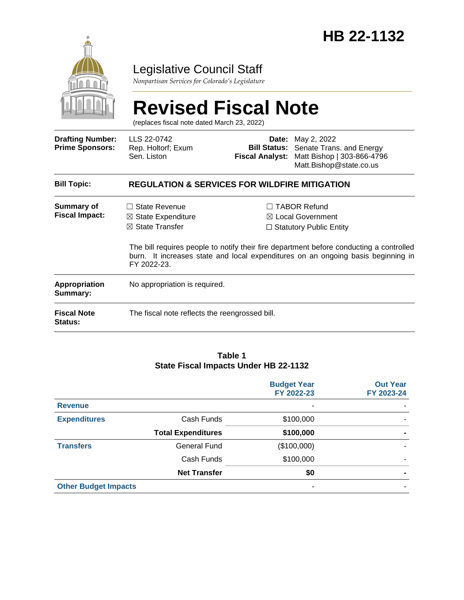

# Legislative Council Staff

*Nonpartisan Services for Colorado's Legislature*

#### **Revised Fiscal Note** (replaces fiscal note dated March 23, 2022) **Drafting Number: Prime Sponsors:** LLS 22-0742 Rep. Holtorf; Exum Sen. Liston **Date:** May 2, 2022 **Bill Status:** Senate Trans. and Energy **Fiscal Analyst:** Matt Bishop | 303-866-4796 Matt.Bishop@state.co.us **Bill Topic: REGULATION & SERVICES FOR WILDFIRE MITIGATION Summary of Fiscal Impact:** □ State Revenue ☒ State Expenditure ☒ State Transfer ☐ TABOR Refund ☒ Local Government ☐ Statutory Public Entity The bill requires people to notify their fire department before conducting a controlled burn. It increases state and local expenditures on an ongoing basis beginning in FY 2022-23. **Appropriation Summary:** No appropriation is required. **Fiscal Note Status:** The fiscal note reflects the reengrossed bill.

#### **Table 1 State Fiscal Impacts Under HB 22-1132**

|                             |                           | <b>Budget Year</b><br>FY 2022-23 | <b>Out Year</b><br>FY 2023-24 |
|-----------------------------|---------------------------|----------------------------------|-------------------------------|
| <b>Revenue</b>              |                           |                                  |                               |
| <b>Expenditures</b>         | Cash Funds                | \$100,000                        |                               |
|                             | <b>Total Expenditures</b> | \$100,000                        |                               |
| <b>Transfers</b>            | General Fund              | (\$100,000)                      |                               |
|                             | Cash Funds                | \$100,000                        |                               |
|                             | <b>Net Transfer</b>       | \$0                              | -                             |
| <b>Other Budget Impacts</b> |                           |                                  |                               |